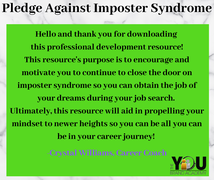## **Pledge Against Imposter Syndrome**

**Hello and thank you for downloading this professional development resource! This resource's purpose is to encourage and motivate you to continue to close the door on imposter syndrome so you can obtain the job of your dreams during your job search. Ultimately, this resource will aid in propelling your mindset to newer heights so you can be all you can be in your career journey!**

**-Crystal Williams, Career Coach**

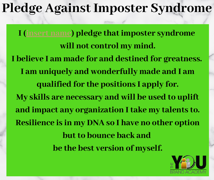## **Pledge Against Imposter Syndrome**

**I (insert name) pledge that imposter syndrome will not control my mind. I believe I am made for and destined for greatness. I am uniquely and wonderfully made and I am qualified for the positions I apply for. My skills are necessary and will be used to uplift and impact any organization I take my talents to. Resilience is in my DNA so I have no other option but to bounce back and be the best version of myself.**